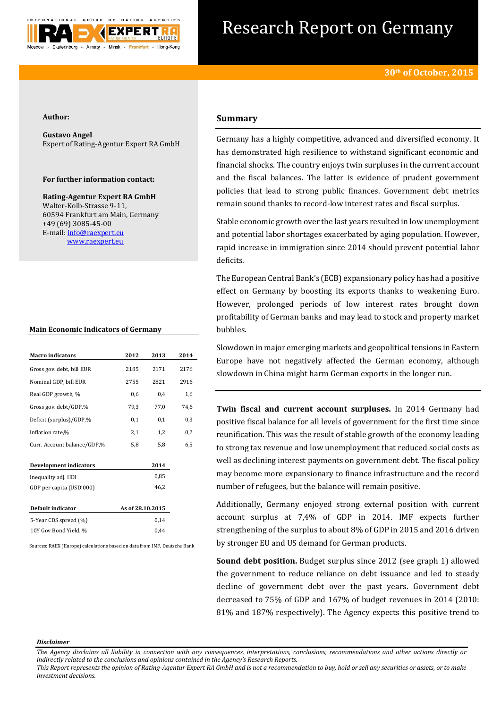

# Research Report on Germany

### **Author:**

**Gustavo Angel** Expert of Rating-Agentur Expert RA GmbH

# **For further information contact:**

**Rating-Agentur Expert RA GmbH** Walter-Kolb-Strasse 9-11, 60594 Frankfurt am Main, Germany +49 (69) 3085-45-00 E-mail[: info@raexpert.eu](mailto:info@raexpert.eu) [www.raexpert.eu](http://raexpert.eu/)

## **Main Economic Indicators of Germany**

| <b>Macro</b> indicators       | 2012             | 2013 | 2014 |
|-------------------------------|------------------|------|------|
| Gross gov. debt, bill EUR     | 2185             | 2171 | 2176 |
| Nominal GDP, bill EUR         | 2755             | 2821 | 2916 |
| Real GDP growth, %            | 0,6              | 0,4  | 1,6  |
| Gross gov. debt/GDP,%         | 79,3             | 77,0 | 74,6 |
| Deficit (surplus)/GDP,%       | 0,1              | 0,1  | 0,3  |
| Inflation rate,%              | 2,1              | 1,2  | 0,2  |
| Curr. Account balance/GDP,%   | 5,8              | 5,8  | 6,5  |
| <b>Development indicators</b> |                  | 2014 |      |
| Inequality adj. HDI           |                  | 0,85 |      |
| GDP per capita (USD'000)      |                  | 46,2 |      |
| Default indicator             | As of 28.10.2015 |      |      |
| 5-Year CDS spread (%)         |                  | 0,14 |      |
| 10Y Gov Bond Yield, %         |                  | 0.44 |      |

Sources: RAEX (Europe) calculations based on data from IMF, Deutsche Bank

## **Summary**

Germany has a highly competitive, advanced and diversified economy. It has demonstrated high resilience to withstand significant economic and financial shocks. The country enjoys twin surpluses in the current account and the fiscal balances. The latter is evidence of prudent government policies that lead to strong public finances. Government debt metrics remain sound thanks to record-low interest rates and fiscal surplus.

Stable economic growth over the last years resulted in low unemployment and potential labor shortages exacerbated by aging population. However, rapid increase in immigration since 2014 should prevent potential labor deficits.

The European Central Bank's (ECB) expansionary policy has had a positive effect on Germany by boosting its exports thanks to weakening Euro. However, prolonged periods of low interest rates brought down profitability of German banks and may lead to stock and property market bubbles.

Slowdown in major emerging markets and geopolitical tensions in Eastern Europe have not negatively affected the German economy, although slowdown in China might harm German exports in the longer run.

**Twin fiscal and current account surpluses.** In 2014 Germany had positive fiscal balance for all levels of government for the first time since reunification. This was the result of stable growth of the economy leading to strong tax revenue and low unemployment that reduced social costs as well as declining interest payments on government debt. The fiscal policy may become more expansionary to finance infrastructure and the record number of refugees, but the balance will remain positive.

Additionally, Germany enjoyed strong external position with current account surplus at 7,4% of GDP in 2014. IMF expects further strengthening of the surplus to about 8% of GDP in 2015 and 2016 driven by stronger EU and US demand for German products.

**Sound debt position.** Budget surplus since 2012 (see graph 1) allowed the government to reduce reliance on debt issuance and led to steady decline of government debt over the past years. Government debt decreased to 75% of GDP and 167% of budget revenues in 2014 (2010: 81% and 187% respectively). The Agency expects this positive trend to

#### *Disclaimer*

*This Report represents the opinion of Rating-Agentur Expert RA GmbH and is not a recommendation to buy, hold or sell any securities or assets, or to make investment decisions.*

*The Agency disclaims all liability in connection with any consequences, interpretations, conclusions, recommendations and other actions directly or indirectly related to the conclusions and opinions contained in the Agency's Research Reports.*